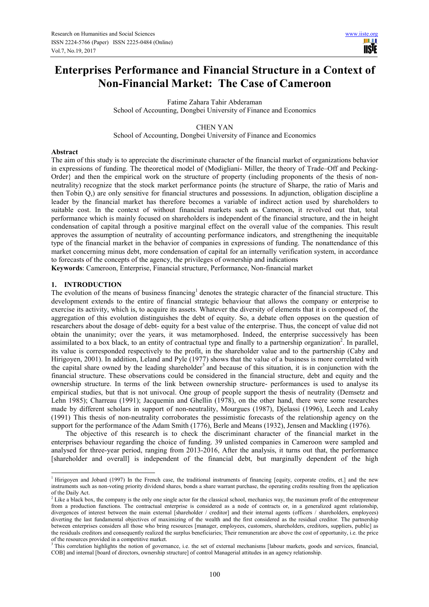# **Enterprises Performance and Financial Structure in a Context of Non-Financial Market: The Case of Cameroon**

Fatime Zahara Tahir Abderaman School of Accounting, Dongbei University of Finance and Economics

CHEN YAN School of Accounting, Dongbei University of Finance and Economics

## **Abstract**

The aim of this study is to appreciate the discriminate character of the financial market of organizations behavior in expressions of funding. The theoretical model of (Modigliani- Miller, the theory of Trade–Off and Pecking-Order} and then the empirical work on the structure of property (including proponents of the thesis of nonneutrality) recognize that the stock market performance points (he structure of Sharpe, the ratio of Maris and then Tobin Q,) are only sensitive for financial structures and possessions. In adjunction, obligation discipline a leader by the financial market has therefore becomes a variable of indirect action used by shareholders to suitable cost. In the context of without financial markets such as Cameroon, it revolved out that, total performance which is mainly focused on shareholders is independent of the financial structure, and the in height condensation of capital through a positive marginal effect on the overall value of the companies. This result approves the assumption of neutrality of accounting performance indicators, and strengthening the inequitable type of the financial market in the behavior of companies in expressions of funding. The nonattendance of this market concerning minus debt, more condensation of capital for an internally verification system, in accordance to forecasts of the concepts of the agency, the privileges of ownership and indications

**Keywords**: Cameroon, Enterprise, Financial structure, Performance, Non-financial market

## **1. INTRODUCTION**

L

The evolution of the means of business financing<sup>1</sup> denotes the strategic character of the financial structure. This development extends to the entire of financial strategic behaviour that allows the company or enterprise to exercise its activity, which is, to acquire its assets. Whatever the diversity of elements that it is composed of, the aggregation of this evolution distinguishes the debt of equity. So, a debate often opposes on the question of researchers about the dosage of debt- equity for a best value of the enterprise. Thus, the concept of value did not obtain the unanimity; over the years, it was metamorphosed. Indeed, the enterprise successively has been assimilated to a box black, to an entity of contractual type and finally to a partnership organization<sup>2</sup>. In parallel, its value is corresponded respectively to the profit, in the shareholder value and to the partnership (Caby and Hirigoyen, 2001). In addition, Leland and Pyle (1977) shows that the value of a business is more correlated with the capital share owned by the leading shareholder<sup>3</sup> and because of this situation, it is in conjunction with the financial structure. These observations could be considered in the financial structure, debt and equity and the ownership structure. In terms of the link between ownership structure- performances is used to analyse its empirical studies, but that is not univocal. One group of people support the thesis of neutrality (Demsetz and Lehn 1985); Charreau (1991); Jacquemin and Ghellin (1978), on the other hand, there were some researches made by different scholars in support of non-neutrality, Mourgues (1987), Djelassi (1996), Leech and Leahy (1991) This thesis of non-neutrality corroborates the pessimistic forecasts of the relationship agency on the support for the performance of the Adam Smith (1776), Berle and Means (1932), Jensen and Mackling (1976).

The objective of this research is to check the discriminant character of the financial market in the enterprises behaviour regarding the choice of funding. 39 unlisted companies in Cameroon were sampled and analysed for three-year period, ranging from 2013-2016, After the analysis, it turns out that, the performance [shareholder and overall] is independent of the financial debt, but marginally dependent of the high

<sup>&</sup>lt;sup>1</sup> Hirigoven and Jobard (1997) In the French case, the traditional instruments of financing [equity, corporate credits, et.] and the new instruments such as non-voting priority dividend shares, bonds a share warrant purchase, the operating credits resulting from the application of the Daily Act.

<sup>&</sup>lt;sup>2</sup> Like a black box, the company is the only one single actor for the classical school, mechanics way, the maximum profit of the entrepreneur from a production functions. The contractual enterprise is considered as a node of contracts or, in a generalized agent relationship, divergences of interest between the main external [shareholder / creditor] and their internal agents (officers / shareholders, employees) diverting the last fundamental objectives of maximizing of the wealth and the first considered as the residual creditor. The partnership between enterprises considers all those who bring resources [manager, employees, customers, shareholders, creditors, suppliers, public] as the residuals creditors and consequently realized the surplus beneficiaries; Their remuneration are above the cost of opportunity, i.e. the price of the resources provided in a competitive market.

<sup>&</sup>lt;sup>3</sup> This correlation highlights the notion of governance, i.e. the set of external mechanisms [labour markets, goods and services, financial, COB] and internal [board of directors, ownership structure] of control Managerial attitudes in an agency relationship.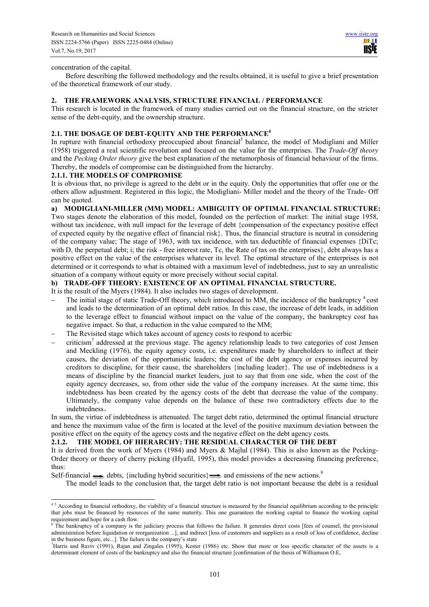#### concentration of the capital.

L

Before describing the followed methodology and the results obtained, it is useful to give a brief presentation of the theoretical framework of our study.

## **2. THE FRAMEWORK ANALYSIS, STRUCTURE FINANCIAL / PERFORMANCE**

This research is located in the framework of many studies carried out on the financial structure, on the stricter sense of the debt-equity, and the ownership structure.

## **2.1. THE DOSAGE OF DEBT-EQUITY AND THE PERFORMANCE<sup>4</sup>**

In rupture with financial orthodoxy preoccupied about financial<sup>5</sup> balance, the model of Modigliani and Miller (1958) triggered a real scientific revolution and focused on the value for the enterprises. The *Trade-Off theory* and the *Pecking Order theory* give the best explanation of the metamorphosis of financial behaviour of the firms. Thereby, the models of compromise can be distinguished from the hierarchy.

#### **2.1.1. THE MODELS OF COMPROMISE**

It is obvious that, no privilege is agreed to the debt or in the equity. Only the opportunities that offer one or the others allow adjustment. Registered in this logic, the Modigliani- Miller model and the theory of the Trade- Off can be quoted.

**a) MODIGLIANI-MILLER (MM) MODEL: AMBIGUITY OF OPTIMAL FINANCIAL STRUCTURE:**  Two stages denote the elaboration of this model, founded on the perfection of market: The initial stage 1958, without tax incidence, with null impact for the leverage of debt {compensation of the expectancy positive effect of expected equity by the negative effect of financial risk $\}$ . Thus, the financial structure is neutral in considering of the company value; The stage of 1963, with tax incidence, with tax deductible of financial expenses {DiTc; with D, the perpetual debt; i; the risk - free interest rate, Tc, the Rate of tax on the enterprises}, debt always has a positive effect on the value of the enterprises whatever its level. The optimal structure of the enterprises is not determined or it corresponds to what is obtained with a maximum level of indebtedness, just to say an unrealistic situation of a company without equity or more precisely without social capital.

## **b) TRADE-OFF THEORY: EXISTENCE OF AN OPTIMAL FINANCIAL STRUCTURE.**

It is the result of the Myers (1984). It also includes two stages of development.

- The initial stage of static Trade-Off theory, which introduced to MM, the incidence of the bankruptcy <sup>4</sup>cost and leads to the determination of an optimal debt ratios. In this case, the increase of debt leads, in addition to the leverage effect to financial without impact on the value of the company, the bankruptcy cost has negative impact. So that, a reduction in the value compared to the MM;
- The Revisited stage which takes account of agency costs to respond to acerbic
- − criticism<sup>7</sup> addressed at the previous stage. The agency relationship leads to two categories of cost Jensen and Meckling (1976), the equity agency costs, i.e. expenditures made by shareholders to inflect at their causes, the deviation of the opportunistic leaders; the cost of the debt agency or expenses incurred by creditors to discipline, for their cause, the shareholders {including leader}. The use of indebtedness is a means of discipline by the financial market leaders, just to say that from one side, when the cost of the equity agency decreases, so, from other side the value of the company increases. At the same time, this indebtedness has been created by the agency costs of the debt that decrease the value of the company. Ultimately, the company value depends on the balance of these two contradictory effects due to the indebtedness 。

In sum, the virtue of indebtedness is attenuated. The target debt ratio, determined the optimal financial structure and hence the maximum value of the firm is located at the level of the positive maximum deviation between the positive effect on the equity of the agency costs and the negative effect on the debt agency costs.

#### **2.1.2. THE MODEL OF HIERARCHY: THE RESIDUAL CHARACTER OF THE DEBT**

It is derived from the work of Myers (1984) and Myers & Majlul (1984). This is also known as the Pecking-Order theory or theory of cherry picking (Hyafil, 1995), this model provides a decreasing financing preference, thus:

Self-financial debts, {including hybrid securities} and emissions of the new actions.<sup>8</sup>

The model leads to the conclusion that, the target debt ratio is not important because the debt is a residual

 $4<sup>5</sup>$  According to financial orthodoxy, the viability of a financial structure is measured by the financial equilibrium according to the principle that jobs must be financed by resources of the same maturity. This one guarantees the working capital to finance the working capital requirement and hope for a cash flow.

The bankruptcy of a company is the judiciary process that follows the failure. It generates direct costs [fees of counsel, the provisional administration before liquidation or reorganization ...], and indirect [loss of customers and suppliers as a result of loss of confidence, decline in the business figure, etc...]. The failure is the company's state

<sup>7</sup>Harris and Raviv (1991), Rajan and Zingales (1995), Kester (1986) etc. Show that more or less specific character of the assets is a determinant element of costs of the bankruptcy and also the financial structure [confirmation of the thesis of Williamson O.E,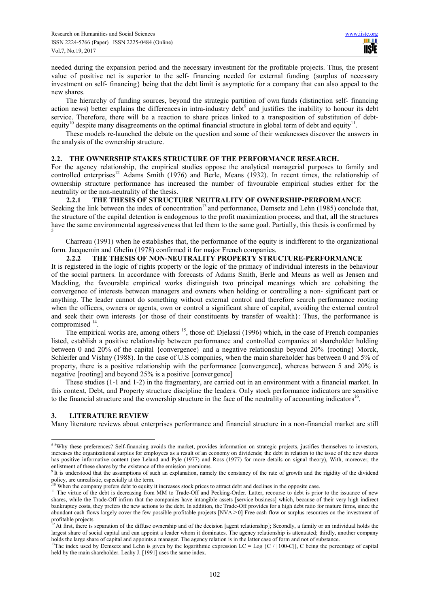needed during the expansion period and the necessary investment for the profitable projects. Thus, the present value of positive net is superior to the self- financing needed for external funding {surplus of necessary investment on self- financing} being that the debt limit is asymptotic for a company that can also appeal to the new shares.

The hierarchy of funding sources, beyond the strategic partition of own funds (distinction self- financing action news) better explains the differences in intra-industry debt<sup>9</sup> and justifies the inability to honour its debt service. Therefore, there will be a reaction to share prices linked to a transposition of substitution of debtequity<sup>10</sup> despite many disagreements on the optimal financial structure in global term of debt and equity<sup>1</sup> .

These models re-launched the debate on the question and some of their weaknesses discover the answers in the analysis of the ownership structure.

#### **2.2. THE OWNERSHIP STAKES STRUCTURE OF THE PERFORMANCE RESEARCH.**

For the agency relationship, the empirical studies oppose the analytical managerial purposes to family and controlled enterprises<sup>12</sup> Adams Smith (1976) and Berle, Means (1932). In recent times, the relationship of ownership structure performance has increased the number of favourable empirical studies either for the neutrality or the non-neutrality of the thesis.

## **2.2.1 THE THESIS OF STRUCTURE NEUTRALITY OF OWNERSHIP-PERFORMANCE**

Seeking the link between the index of concentration<sup>13</sup> and performance, Demsetz and Lehn (1985) conclude that, the structure of the capital detention is endogenous to the profit maximization process, and that, all the structures have the same environmental aggressiveness that led them to the same goal. Partially, this thesis is confirmed by 5

Charreau (1991) when he establishes that, the performance of the equity is indifferent to the organizational form. Jacquemin and Ghelin (1978) confirmed it for major French companies.

# **2.2.2 THE THESIS OF NON-NEUTRALITY PROPERTY STRUCTURE-PERFORMANCE**

It is registered in the logic of rights property or the logic of the primacy of individual interests in the behaviour of the social partners. In accordance with forecasts of Adams Smith, Berle and Means as well as Jensen and Mackling, the favourable empirical works distinguish two principal meanings which are cohabiting the convergence of interests between managers and owners when holding or controlling a non- significant part or anything. The leader cannot do something without external control and therefore search performance rooting when the officers, owners or agents, own or control a significant share of capital, avoiding the external control and seek their own interests {or those of their constituents by transfer of wealth}: Thus, the performance is compromised  $<sup>1</sup>$ </sup> .

The empirical works are, among others <sup>15</sup>, those of: Djelassi (1996) which, in the case of French companies listed, establish a positive relationship between performance and controlled companies at shareholder holding between 0 and 20% of the capital {convergence} and a negative relationship beyond 20% {rooting} Morck, Schleifer and Vishny (1988). In the case of U.S companies, when the main shareholder has between 0 and 5% of property, there is a positive relationship with the performance [convergence], whereas between 5 and 20% is negative [rooting] and beyond 25% is a positive [convergence]

These studies (1-1 and 1-2) in the fragmentary, are carried out in an environment with a financial market. In this context, Debt, and Property structure discipline the leaders. Only stock performance indicators are sensitive to the financial structure and the ownership structure in the face of the neutrality of accounting indicators<sup>16</sup>.

# **3. LITERATURE REVIEW**

Many literature reviews about enterprises performance and financial structure in a non-financial market are still

<sup>&</sup>lt;sup>58</sup>Why these preferences? Self-financing avoids the market, provides information on strategic projects, justifies themselves to investors, increases the organizational surplus for employees as a result of an economy on dividends; the debt in relation to the issue of the new shares has positive informative content (see Leland and Pyle (1977) and Ross (1977) for more details on signal theory), With, moreover, the enlistment of these shares by the existence of the emission premiums.

 $9$ <sup>It</sup> is understood that the assumptions of such an explanation, namely the constancy of the rate of growth and the rigidity of the dividend policy, are unrealistic, especially at the term.

 $\mu$ <sup>0</sup> When the company prefers debt to equity it increases stock prices to attract debt and declines in the opposite case.

<sup>&</sup>lt;sup>11</sup> The virtue of the debt is decreasing from MM to Trade-Off and Pecking-Order. Latter, recourse to debt is prior to the issuance of new shares, while the Trade-Off infirm that the companies have intangible assets [service business] which, because of their very high indirect bankruptcy costs, they prefers the new actions to the debt. In addition, the Trade-Off provides for a high debt ratio for mature firms, since the abundant cash flows largely cover the few possible profitable projects  $[NVA \ge 0]$  Free cash flow or surplus resources on the investment of profitable projects.

At first, there is separation of the diffuse ownership and of the decision [agent relationship]; Secondly, a family or an individual holds the largest share of social capital and can appoint a leader whom it dominates. The agency relationship is attenuated; thirdly, another company holds the large share of capital and appoints a manager. The agency relation is in the latter case of form and not of substance.

<sup>&</sup>lt;sup>13</sup>The index used by Demsetz and Lehn is given by the logarithmic expression LC = Log {C / [100-C]]. C being the percentage of capital held by the main shareholder. Leahy J. [1991] uses the same index.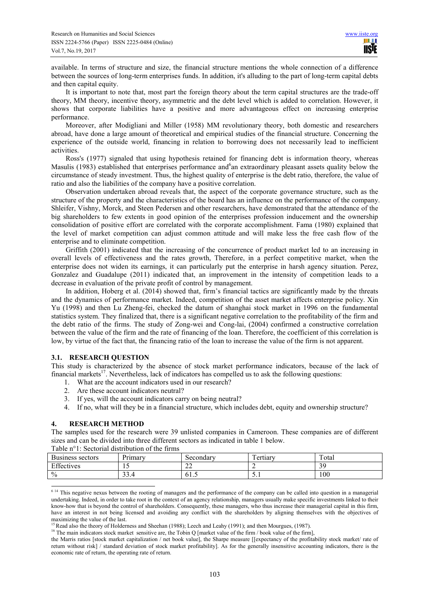available. In terms of structure and size, the financial structure mentions the whole connection of a difference between the sources of long-term enterprises funds. In addition, it's alluding to the part of long-term capital debts and then capital equity.

It is important to note that, most part the foreign theory about the term capital structures are the trade-off theory, MM theory, incentive theory, asymmetric and the debt level which is added to correlation. However, it shows that corporate liabilities have a positive and more advantageous effect on increasing enterprise performance.

Moreover, after Modigliani and Miller (1958) MM revolutionary theory, both domestic and researchers abroad, have done a large amount of theoretical and empirical studies of the financial structure. Concerning the experience of the outside world, financing in relation to borrowing does not necessarily lead to inefficient activities.

Ross's (1977) signaled that using hypothesis retained for financing debt is information theory, whereas Masulis (1983) established that enterprises performance and an extraordinary pleasant assets quality below the circumstance of steady investment. Thus, the highest quality of enterprise is the debt ratio, therefore, the value of ratio and also the liabilities of the company have a positive correlation.

Observation undertaken abroad reveals that, the aspect of the corporate governance structure, such as the structure of the property and the characteristics of the board has an influence on the performance of the company. Shleifer, Vishny, Morck, and Steen Pedersen and other researchers, have demonstrated that the attendance of the big shareholders to few extents in good opinion of the enterprises profession inducement and the ownership consolidation of positive effort are correlated with the corporate accomplishment. Fama (1980) explained that the level of market competition can adjust common attitude and will make less the free cash flow of the enterprise and to eliminate competition.

Griffith (2001) indicated that the increasing of the concurrence of product market led to an increasing in overall levels of effectiveness and the rates growth, Therefore, in a perfect competitive market, when the enterprise does not widen its earnings, it can particularly put the enterprise in harsh agency situation. Perez, Gonzalez and Guadalupe (2011) indicated that, an improvement in the intensity of competition leads to a decrease in evaluation of the private profit of control by management.

In addition, Hoberg et al. (2014) showed that, firm's financial tactics are significantly made by the threats and the dynamics of performance market. Indeed, competition of the asset market affects enterprise policy. Xin Yu (1998) and then Lu Zheng-fei, checked the datum of shanghai stock market in 1996 on the fundamental statistics system. They finalized that, there is a significant negative correlation to the profitability of the firm and the debt ratio of the firms. The study of Zong-wei and Cong-lai, (2004) confirmed a constructive correlation between the value of the firm and the rate of financing of the loan. Therefore, the coefficient of this correlation is low, by virtue of the fact that, the financing ratio of the loan to increase the value of the firm is not apparent.

# **3.1. RESEARCH QUESTION**

This study is characterized by the absence of stock market performance indicators, because of the lack of financial markets<sup>17</sup>. Nevertheless, lack of indicators has compelled us to ask the following questions:

- 1. What are the account indicators used in our research?
- 2. Are these account indicators neutral?
- 3. If yes, will the account indicators carry on being neutral?
- 4. If no, what will they be in a financial structure, which includes debt, equity and ownership structure?

# **4. RESEARCH METHOD**

L

The samples used for the research were 39 unlisted companies in Cameroon. These companies are of different sizes and can be divided into three different sectors as indicated in table 1 below. Table n°1: Sectorial distribution of the firms

| TWOTO II T. OOOGOTIMI MIDRITOMGOTI OT GIO IIIIID |                      |              |                                     |       |  |  |  |  |  |  |  |
|--------------------------------------------------|----------------------|--------------|-------------------------------------|-------|--|--|--|--|--|--|--|
| Business sectors                                 | Primary              | Secondary    | $\overline{\phantom{a}}$<br>ertiary | Total |  |  |  |  |  |  |  |
| Effectives                                       | <b>10</b>            | $\sim$<br>∠∠ |                                     | 30    |  |  |  |  |  |  |  |
| $\frac{0}{0}$                                    | $\mathcal{L}$<br>٦.٦ | 01.3         | $\sim$ . 1                          | 100   |  |  |  |  |  |  |  |

<sup>&</sup>lt;sup>6 14</sup> This negative nexus between the rooting of managers and the performance of the company can be called into question in a managerial undertaking. Indeed, in order to take root in the context of an agency relationship, managers usually make specific investments linked to their know-how that is beyond the control of shareholders. Consequently, these managers, who thus increase their managerial capital in this firm, have an interest in not being licensed and avoiding any conflict with the shareholders by aligning themselves with the objectives of  $\frac{15 \text{ Pa}}{15 \text{ Pa} \cdot 1}$  to value of the last.

<sup>16</sup> The main indicators stock market sensitive are, the Tobin Q [market value of the firm / book value of the firm],

Read also the theory of Holderness and Sheehan (1988); Leech and Leahy (1991); and then Mourgues, (1987).

the Marris ratios [stock market capitalization / net book value], the Sharpe measure [[expectancy of the profitability stock market/ rate of return without risk] / standard deviation of stock market profitability]. As for the generally insensitive accounting indicators, there is the economic rate of return, the operating rate of return.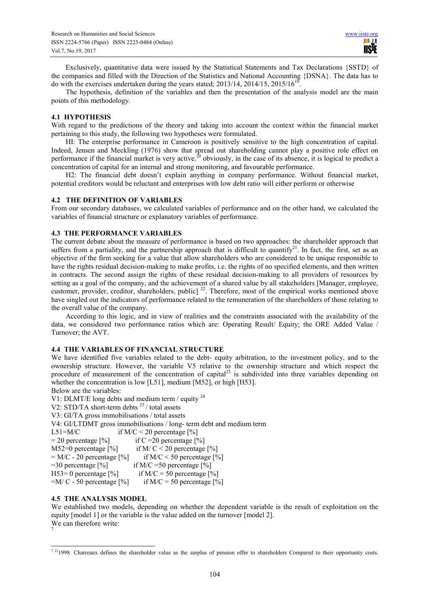Exclusively, quantitative data were issued by the Statistical Statements and Tax Declarations {SSTD} of the companies and filled with the Direction of the Statistics and National Accounting {DSNA}. The data has to do with the exercises undertaken during the years stated;  $2013/14$ ,  $2014/15$ ,  $2015/16^{19}$ .

The hypothesis, definition of the variables and then the presentation of the analysis model are the main points of this methodology.

## **4.1 HYPOTHESIS**

With regard to the predictions of the theory and taking into account the context within the financial market pertaining to this study, the following two hypotheses were formulated.

HI: The enterprise performance in Cameroon is positively sensitive to the high concentration of capital. Indeed, Jensen and Meckling (1976) show that spread out shareholding cannot play a positive role effect on performance if the financial market is very active.<sup>20</sup> obviously, in the case of its absence, it is logical to predict a concentration of capital for an internal and strong monitoring, and favourable performance.

H2: The financial debt doesn't explain anything in company performance. Without financial market, potential creditors would be reluctant and enterprises with low debt ratio will either perform or otherwise

## **4.2 THE DEFINITION OF VARIABLES**

From our secondary databases, we calculated variables of performance and on the other hand, we calculated the variables of financial structure or explanatory variables of performance.

## **4.3 THE PERFORMANCE VARIABLES**

The current debate about the measure of performance is based on two approaches: the shareholder approach that suffers from a partiality, and the partnership approach that is difficult to quantify<sup>21</sup>. In fact, the first, set as an objective of the firm seeking for a value that allow shareholders who are considered to be unique responsible to have the rights residual decision-making to make profits, i.e. the rights of no specified elements, and then written in contracts. The second assign the rights of these residual decision-making to all providers of resources by setting as a goal of the company, and the achievement of a shared value by all stakeholders [Manager, employee, customer, provider, creditor, shareholders, public]<sup>22</sup>. Therefore, most of the empirical works mentioned above have singled out the indicators of performance related to the remuneration of the shareholders of those relating to the overall value of the company.

According to this logic, and in view of realities and the constraints associated with the availability of the data, we considered two performance ratios which are: Operating Result/ Equity; the ORE Added Value / Turnover; the AVT.

#### **4.4 THE VARIABLES OF FINANCIAL STRUCTURE**

We have identified five variables related to the debt- equity arbitration, to the investment policy, and to the ownership structure. However, the variable V5 relative to the ownership structure and which respect the procedure of measurement of the concentration of capital<sup>23</sup> is subdivided into three variables depending on whether the concentration is low [L51], medium [M52], or high [H53].

Below are the variables:

V1: DLMT/E long debts and medium term / equity  $^{24}$ V2: STD/TA short-term debts  $25/$  total assets V3: GI/TA gross immobilisations / total assets V4: GI/LTDMT gross immobilisations / long- term debt and medium term L51=M/C if  $M/C < 20$  percentage [%]  $= 20$  percentage  $[%]$  if C =20 percentage  $[%]$ M52=0 percentage  $[%]$  if M/ C < 20 percentage  $[%]$  $= M/C - 20$  percentage  $[%]$  if M/C < 50 percentage  $[%]$  $=$ 30 percentage [%] if M/C =50 percentage [%] H53= 0 percentage  $[\%]$  if M/C = 50 percentage  $[\%]$  $=M/C - 50$  percentage  $[\%]$  if M/C = 50 percentage  $[\%]$ 

# **4.5 THE ANALYSIS MODEL**

l

We established two models, depending on whether the dependent variable is the result of exploitation on the equity [model 1] or the variable is the value added on the turnover [model 2]. We can therefore write:

<sup>&</sup>lt;sup>7 21</sup>1998. Charreaux defines the shareholder value as the surplus of pension offer to shareholders Compared to their opportunity costs.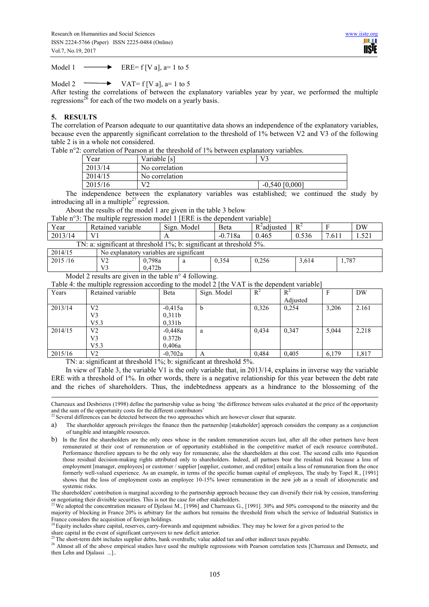Model 1  $\longrightarrow$  ERE= f [V a], a= 1 to 5

Model 2  $\longrightarrow$  VAT= f [V a], a= 1 to 5

After testing the correlations of between the explanatory variables year by year, we performed the multiple regressions<sup>26</sup> for each of the two models on a yearly basis.

## **5. RESULTS**

L

The correlation of Pearson adequate to our quantitative data shows an independence of the explanatory variables, because even the apparently significant correlation to the threshold of 1% between V2 and V3 of the following table 2 is in a whole not considered.

Table n°2: correlation of Pearson at the threshold of 1% between explanatory variables.

| Year    | Variable [s]   | V٦               |
|---------|----------------|------------------|
| 2013/14 | No correlation |                  |
| 2014/15 | No correlation |                  |
| 2015/16 | $V^{\sim}$     | $-0,540$ [0,000] |

The independence between the explanatory variables was established; we continued the study by introducing all in a multiple<sup>27</sup> regression.

About the results of the model 1 are given in the table 3 below

Table n°3: The multiple regression model 1 [ERE is the dependent variable]

| $\mathbf{r}$<br>ear | variable<br>Retained                                                                                                    | $\sim$<br>Model<br>81gn. | Beta        | $R^2$ adjusted | $R^4$ |                                              | DW            |  |  |  |  |
|---------------------|-------------------------------------------------------------------------------------------------------------------------|--------------------------|-------------|----------------|-------|----------------------------------------------|---------------|--|--|--|--|
| 2013/14             | V <sup>1</sup>                                                                                                          | . .                      | 718a<br>-v. | 0.465          | 0.536 | $\overline{\phantom{0}}$<br>$\sim$ 1<br>.011 | $ -$<br>1.741 |  |  |  |  |
|                     | $\cdot$<br>$\cdot$ significant at threshold 5%.<br>$TN^{\Gamma}$<br>$1\%$ : b: .<br>significant at threshold<br>a.<br>. |                          |             |                |       |                                              |               |  |  |  |  |

| .             | .                                                     |                        |   |       |       |       |       |  |
|---------------|-------------------------------------------------------|------------------------|---|-------|-------|-------|-------|--|
| 2014/15       | $\sim$<br>variables are significant<br>No explanatory |                        |   |       |       |       |       |  |
| 2015/16<br>10 | $\mathbf{V}$<br><b>__</b>                             | 798a<br>$\mathbf{U}$ . | а | 0,354 | 0.256 | 5,614 | 1,787 |  |
|               | $T$ $T$ $\cap$                                        | 0.472 <sub>b</sub>     |   |       |       |       |       |  |

Model 2 results are given in the table n° 4 following.

Table 4: the multiple regression according to the model 2 [the VAT is the dependent variable]

| Retained variable | <b>B</b> eta       | Sign. Model | $R^2$ | $R^2$    |       | DW    |
|-------------------|--------------------|-------------|-------|----------|-------|-------|
|                   |                    |             |       | Adjusted |       |       |
| V2                | $-0.415a$          | b           | 0,326 | 0.254    | 3,206 | 2.161 |
| V3                | 0,311b             |             |       |          |       |       |
| V5.3              | 0.331b             |             |       |          |       |       |
| V2                | $-0,448a$          | a           | 0,434 | 0,347    | 5,044 | 2,218 |
| V3                | 0.372 <sub>b</sub> |             |       |          |       |       |
| V5.3              | 0,406a             |             |       |          |       |       |
| V2                | $-0,702a$          | A           | 0,484 | 0.405    | 6,179 | 1,817 |
|                   |                    |             |       |          |       |       |

TN: a: significant at threshold 1%; b: significant at threshold 5%.

In view of Table 3, the variable V1 is the only variable that, in 2013/14, explains in inverse way the variable ERE with a threshold of 1%. In other words, there is a negative relationship for this year between the debt rate and the riches of shareholders. Thus, the indebtedness appears as a hindrance to the blossoming of the

Charreaux and Desbrieres (1998) define the partnership value as being 'the difference between sales evaluated at the price of the opportunity and the sum of the opportunity costs for the different contributors'

<sup>22</sup> Several differences can be detected between the two approaches which are however closer that separate.

a) The shareholder approach privileges the finance then the partnership [stakeholder] approach considers the company as a conjunction of tangible and intangible resources.

 $^{24}$  Equity includes share capital, reserves, carry-forwards and equipment subsidies. They may be lower for a given period to the

share capital in the event of significant carryovers to new deficit anterior.

<sup>25</sup>The short-term debt includes supplier debts, bank overdrafts; value added tax and other indirect taxes payable.

<sup>26</sup> Almost all of the above empirical studies have used the multiple regressions with Pearson correlation tests [Charreaux and Demsetz, and then Lehn and Djalassi ...]..

b) In the first the shareholders are the only ones whose in the random remuneration occurs last, after all the other partners have been remunerated at their cost of remuneration or of opportunity established in the competitive market of each resource contributed.. Performance therefore appears to be the only way for remunerate, also the shareholders at this cost. The second calls into #question those residual decision-making rights attributed only to shareholders. Indeed, all partners bear the residual risk because a loss of employment [manager, employees] or customer / supplier [supplier, customer, and creditor] entails a loss of remuneration from the once formerly well-valued experience. As an example, in terms of the specific human capital of employees, The study by Topel R., [1991] shows that the loss of employment costs an employee 10-15% lower remuneration in the new job as a result of idiosyncratic and systemic risks.

The shareholders' contribution is marginal according to the partnership approach because they can diversify their risk by cession, transferring or negotiating their divisible securities. This is not the case for other stakeholders.

<sup>&</sup>lt;sup>23</sup> We adopted the concentration measure of Dielassi M., [1996] and Charreaux G., [1991]. 30% and 50% correspond to the minority and the majority of blocking in France 20% is arbitrary for the authors but remains the threshold from which the service of Industrial Statistics in France considers the acquisition of foreign holdings.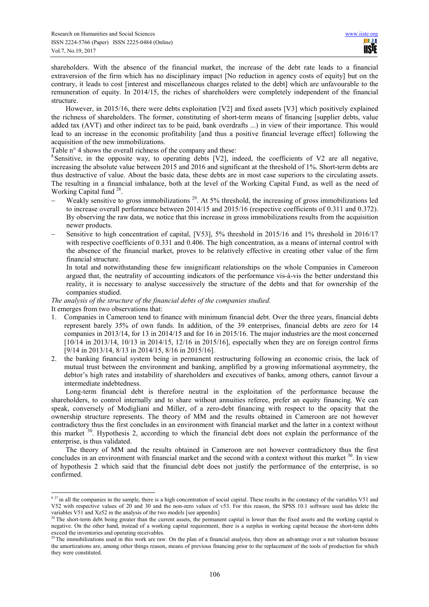shareholders. With the absence of the financial market, the increase of the debt rate leads to a financial extraversion of the firm which has no disciplinary impact [No reduction in agency costs of equity] but on the contrary, it leads to cost [interest and miscellaneous charges related to the debt] which are unfavourable to the remuneration of equity. In 2014/15, the riches of shareholders were completely independent of the financial structure.

However, in 2015/16, there were debts exploitation [V2] and fixed assets [V3] which positively explained the richness of shareholders. The former, constituting of short-term means of financing [supplier debts, value added tax (AVT) and other indirect tax to be paid, bank overdrafts ...) in view of their importance. This would lead to an increase in the economic profitability [and thus a positive financial leverage effect] following the acquisition of the new immobilizations.

Table n° 4 shows the overall richness of the company and these:

<sup>8</sup>Sensitive, in the opposite way, to operating debts [V2], indeed, the coefficients of V2 are all negative, increasing the absolute value between 2015 and 2016 and significant at the threshold of 1%. Short-term debts are thus destructive of value. About the basic data, these debts are in most case superiors to the circulating assets. The resulting in a financial imbalance, both at the level of the Working Capital Fund, as well as the need of Working Capital fund<sup>28</sup>.

- Weakly sensitive to gross immobilizations  $^{29}$ . At 5% threshold, the increasing of gross immobilizations led to increase overall performance between 2014/15 and 2015/16 (respective coefficients of 0.311 and 0.372). By observing the raw data, we notice that this increase in gross immobilizations results from the acquisition newer products.
- − Sensitive to high concentration of capital, [V53], 5% threshold in 2015/16 and 1% threshold in 2016/17 with respective coefficients of 0.331 and 0.406. The high concentration, as a means of internal control with the absence of the financial market, proves to be relatively effective in creating other value of the firm financial structure.

In total and notwithstanding these few insignificant relationships on the whole Companies in Cameroon argued that, the neutrality of accounting indicators of the performance vis-à-vis the better understand this reality, it is necessary to analyse successively the structure of the debts and that for ownership of the companies studied.

*The analysis of the structure of the financial debts of the companies studied.*  It emerges from two observations that:

l

- 1. Companies in Cameroon tend to finance with minimum financial debt. Over the three years, financial debts represent barely 35% of own funds. In addition, of the 39 enterprises, financial debts are zero for 14 companies in 2013/14, for 13 in 2014/15 and for 16 in 2015/16. The major industries are the most concerned [10/14 in 2013/14, 10/13 in 2014/15, 12/16 in 2015/16], especially when they are on foreign control firms [9/14 in 2013/14, 8/13 in 2014/15, 8/16 in 2015/16].
- 2. the banking financial system being in permanent restructuring following an economic crisis, the lack of mutual trust between the environment and banking, amplified by a growing informational asymmetry, the debtor's high rates and instability of shareholders and executives of banks, among others, cannot favour a intermediate indebtedness.

Long-term financial debt is therefore neutral in the exploitation of the performance because the shareholders, to control internally and to share without annuities referee, prefer an equity financing. We can speak, conversely of Modigliani and Miller, of a zero-debt financing with respect to the opacity that the ownership structure represents. The theory of MM and the results obtained in Cameroon are not however contradictory thus the first concludes in an environment with financial market and the latter in a context without this market <sup>30</sup>. Hypothesis 2, according to which the financial debt does not explain the performance of the enterprise, is thus validated.

The theory of MM and the results obtained in Cameroon are not however contradictory thus the first concludes in an environment with financial market and the second with a context without this market <sup>30</sup>. In view of hypothesis 2 which said that the financial debt does not justify the performance of the enterprise, is so confirmed.

 $827$  in all the companies in the sample, there is a high concentration of social capital. These results in the constancy of the variables V51 and V52 with respective values of 20 and 30 and the non-zero values of v53. For this reason, the SPSS 10.1 software used has delete the variables  $V51$  and Xz52 in the analysis of the two models [see appendix]

<sup>&</sup>lt;sup>28</sup>The short-term debt being greater than the current assets, the permanent capital is lower than the fixed assets and the working capital is negative. On the other hand, instead of a working capital requirement, there is a surplus in working capital because the short-term debts exceed the inventories and operating receivables.

<sup>&</sup>lt;sup>29</sup>The immobilizations used in this work are raw. On the plan of a financial analysis, they show an advantage over a net valuation because the amortizations are, among other things reason, means of previous financing prior to the replacement of the tools of production for which they were constituted.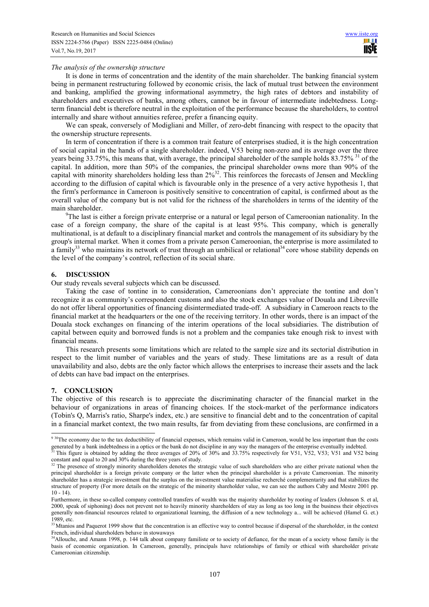#### *The analysis of the ownership structure*

It is done in terms of concentration and the identity of the main shareholder. The banking financial system being in permanent restructuring followed by economic crisis, the lack of mutual trust between the environment and banking, amplified the growing informational asymmetry, the high rates of debtors and instability of shareholders and executives of banks, among others, cannot be in favour of intermediate indebtedness. Longterm financial debt is therefore neutral in the exploitation of the performance because the shareholders, to control internally and share without annuities referee, prefer a financing equity.

We can speak, conversely of Modigliani and Miller, of zero-debt financing with respect to the opacity that the ownership structure represents.

In term of concentration if there is a common trait feature of enterprises studied, it is the high concentration of social capital in the hands of a single shareholder. indeed, V53 being non-zero and its average over the three years being 33.75%, this means that, with average, the principal shareholder of the sample holds  $83.75\%$ <sup>31</sup> of the capital. In addition, more than 50% of the companies, the principal shareholder owns more than 90% of the capital with minority shareholders holding less than  $2\frac{9}{3}$ . This reinforces the forecasts of Jensen and Meckling according to the diffusion of capital which is favourable only in the presence of a very active hypothesis 1, that the firm's performance in Cameroon is positively sensitive to concentration of capital, is confirmed about as the overall value of the company but is not valid for the richness of the shareholders in terms of the identity of the main shareholder.

 $^{9}$ The last is either a foreign private enterprise or a natural or legal person of Cameroonian nationality. In the case of a foreign company, the share of the capital is at least 95%. This company, which is generally multinational, is at default to a disciplinary financial market and controls the management of its subsidiary by the group's internal market. When it comes from a private person Cameroonian, the enterprise is more assimilated to a family<sup>33</sup> who maintains its network of trust through an umbilical or relational<sup>34</sup> core whose stability depends on the level of the company's control, reflection of its social share.

#### **6. DISCUSSION**

Our study reveals several subjects which can be discussed.

Taking the case of tontine in to consideration, Cameroonians don't appreciate the tontine and don't recognize it as community's correspondent customs and also the stock exchanges value of Douala and Libreville do not offer liberal opportunities of financing disintermediated trade-off. A subsidiary in Cameroon reacts to the financial market at the headquarters or the one of the receiving territory. In other words, there is an impact of the Douala stock exchanges on financing of the interim operations of the local subsidiaries. The distribution of capital between equity and borrowed funds is not a problem and the companies take enough risk to invest with financial means.

This research presents some limitations which are related to the sample size and its sectorial distribution in respect to the limit number of variables and the years of study. These limitations are as a result of data unavailability and also, debts are the only factor which allows the enterprises to increase their assets and the lack of debts can have bad impact on the enterprises.

#### **7. CONCLUSION**

The objective of this research is to appreciate the discriminating character of the financial market in the behaviour of organizations in areas of financing choices. If the stock-market of the performance indicators (Tobin's Q, Marris's ratio, Sharpe's index, etc.) are sensitive to financial debt and to the concentration of capital in a financial market context, the two main results, far from deviating from these conclusions, are confirmed in a l

<sup>&</sup>lt;sup>9 30</sup>The economy due to the tax deductibility of financial expenses, which remains valid in Cameroon, would be less important than the costs generated by a bank indebtedness in a optics or the bank do not discipline in any way the managers of the enterprise eventually indebted. <sup>31</sup>This figure is obtained by adding the three averages of 20% of 30% and 33.75% respectively for V51, V52, V53; V51 and V52 being

constant and equal to 20 and 30% during the three years of study.

<sup>&</sup>lt;sup>32</sup> The presence of strongly minority shareholders denotes the strategic value of such shareholders who are either private national when the principal shareholder is a foreign private company or the latter when the principal shareholder is a private Cameroonian. The minority shareholder has a strategic investment that the surplus on the investment value materialise recherché complementarity and that stabilizes the structure of property (For more details on the strategic of the minority shareholder value, we can see the authors Caby and Mestre 2001 pp.  $10 - 14$ 

Furthermore, in these so-called company controlled transfers of wealth was the majority shareholder by rooting of leaders (Johnson S. et al, 2000, speak of siphoning) does not prevent not to heavily minority shareholders of stay as long as too long in the business their objectives generally non-financial resources related to organizational learning, the diffusion of a new technology a... will be achieved (Hamel G. et.) 1989, etc.

 $33$  Mtanios and Paquerot 1999 show that the concentration is an effective way to control because if dispersal of the shareholder, in the context French, individual shareholders behave in stowaways

<sup>&</sup>lt;sup>34</sup>Allouche, and Amann 1998, p. 144 talk about company familiste or to society of defiance, for the mean of a society whose family is the basis of economic organization. In Cameroon, generally, principals have relationships of family or ethical with shareholder private Cameroonian citizenship.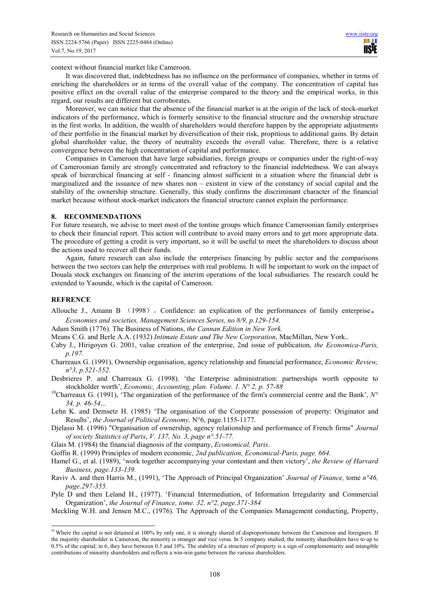context without financial market like Cameroon.

It was discovered that, indebtedness has no influence on the performance of companies, whether in terms of enriching the shareholders or in terms of the overall value of the company. The concentration of capital has positive effect on the overall value of the enterprise compared to the theory and the empirical works, in this regard, our results are different but corroborates.

Moreover, we can notice that the absence of the financial market is at the origin of the lack of stock-market indicators of the performance, which is formerly sensitive to the financial structure and the ownership structure in the first works. In addition, the wealth of shareholders would therefore happen by the appropriate adjustments of their portfolio in the financial market by diversification of their risk, propitious to additional gains. By detain global shareholder value, the theory of neutrality exceeds the overall value. Therefore, there is a relative convergence between the high concentration of capital and performance.

Companies in Cameroon that have large subsidiaries, foreign groups or companies under the right-of-way of Cameroonian family are strongly concentrated and refractory to the financial indebtedness. We can always speak of hierarchical financing at self - financing almost sufficient in a situation where the financial debt is marginalized and the issuance of new shares non – existent in view of the constancy of social capital and the stability of the ownership structure. Generally, this study confirms the discriminant character of the financial market because without stock-market indicators the financial structure cannot explain the performance.

## **8. RECOMMENDATIONS**

For future research, we advise to meet most of the tontine groups which finance Cameroonian family enterprises to check their financial report. This action will contribute to avoid many errors and to get more appropriate data. The procedure of getting a credit is very important, so it will be useful to meet the shareholders to discuss about the actions used to recover all their funds.

Again, future research can also include the enterprises financing by public sector and the comparisons between the two sectors can help the enterprises with real problems. It will be important to work on the impact of Douala stock exchanges on financing of the interim operations of the local subsidiaries. The research could be extended to Yaounde, which is the capital of Cameroon.

#### **REFRENCE**

L

- Allouche J., Amann B (1998) Gonfidence: an explication of the performances of family enterprise. *Economies and societies, Management Sciences Series, no 8/9, p.129-154.*
- Adam Smith (1776). The Business of Nations, *the Cannan Edition in New York.*
- Means C.G. and Berle A.A. (1932) *Intimate Estate and The New Corporation,* MacMillan, New York..
- Caby J., Hirigoyen G. 2001, value creation of the enterprise, 2nd issue of publication, *the Economica-Paris, p.197.*
- Charreaux G. (1991), Ownership organisation, agency relationship and financial performance, *Economic Review, n°3, p.521-552.*
- Desbrieres P. and Charreaux G. (1998). 'the Enterprise administration: partnerships worth opposite to stockholder worth', *Economic, Accounting, plan. Volume. 1. N° 2, p. 57-88*
- <sup>10</sup>Charreaux G. (1991), 'The organization of the performance of the firm's commercial centre and the Bank',  $N^{\circ}$ *34, p. 46-54*...
- Lehn K. and Demsetz H. (1985) 'The organisation of the Corporate possession of property: Originator and Results', *the Journal of Political Economy,* N°6, page.1155-1177.
- Djelassi M. (1996) "Organisation of ownership, agency relationship and performance of French firms" *Journal of society Statistics of Paris*, *V. 137, No. 3, page n°.51-77.*
- Glais M. (1984) the financial diagnosis of the company, *Economical, Paris*.
- Goffin R. (1999) Principles of modern economic, *2nd publication, Economical-Paris, page. 664.*
- Hamel G., et al. (1989), 'work together accompanying your contestant and then victory', *the Review of Harvard Business, page.133-139.*
- Raviv A. and then Harris M., (1991), 'The Approach of Principal Organization' *Journal of Finance,* tome *n°46, page.297-355.*
- Pyle D and then Leland H., (1977). 'Financial Intermediation, of Information Irregularity and Commercial Organization', *the Journal of Finance, tome. 32, n°2, page.371-384*

Meckling W.H. and Jensen M.C., (1976). The Approach of the Companies Management conducting, Property,

<sup>&</sup>lt;sup>35</sup> Where the capital is not detained at 100% by only one, it is strongly shared of disproportionate between the Cameroon and foreigners. If the majority shareholder is Cameroon, the minority is stranger and vice versa. In 5 company studied, the minority shareholders have to up to 0.5% of the capital; in 6, they have between 0.5 and 10%. The stability of a structure of property is a sign of complementarity and intangible contributions of minority shareholders and reflects a win-win game between the various shareholders.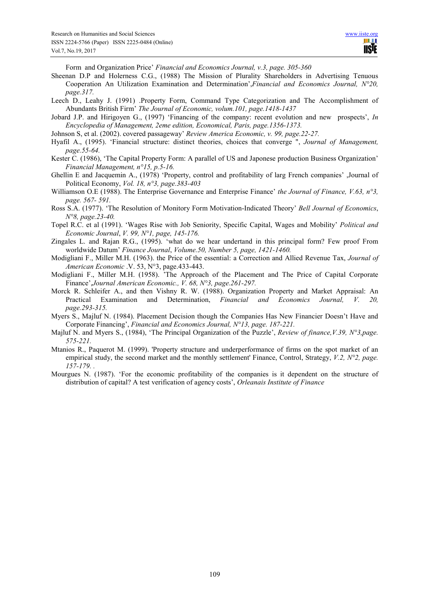Form and Organization Price' *Financial and Economics Journal, v.3, page. 305-360*

- Sheenan D.P and Holerness C.G., (1988) The Mission of Plurality Shareholders in Advertising Tenuous Cooperation An Utilization Examination and Determination',*Financial and Economics Journal, N°20, page.317.*
- Leech D., Leahy J. (1991) .Property Form, Command Type Categorization and The Accomplishment of Abundants British Firm' *The Journal of Economic, volum.101, page.1418-1437*
- Jobard J.P. and Hirigoyen G., (1997) 'Financing of the company: recent evolution and new prospects', *In Encyclopedia of Management, 2eme edition, Economical, Paris, page.1356-1373.*
- Johnson S, et al. (2002). covered passageway' *Review America Economic, v. 99, page.22-27.*
- Hyafil A., (1995). 'Financial structure: distinct theories, choices that converge ", *Journal of Management, page.55-64.*
- Kester C. (1986), 'The Capital Property Form: A parallel of US and Japonese production Business Organization' *Financial Management, n°15, p.5-16.*
- Ghellin E and Jacquemin A., (1978) 'Property, control and profitability of larg French companies' ,Journal of Political Economy, *Vol. 18, n°3, page.383-403*
- Williamson O.E (1988). The Enterprise Governance and Enterprise Finance' *the Journal of Finance, V.63, n°3, page. 567- 591.*
- Ross S.A. (1977). 'The Resolution of Monitory Form Motivation-Indicated Theory' *Bell Journal of Economics*, *N°8, page.23-40.*
- Topel R.C. et al (1991). 'Wages Rise with Job Seniority, Specific Capital, Wages and Mobility' *Political and Economic Journal*, *V. 99, N°1, page, 145-176.*
- Zingales L. and Rajan R.G., (1995). 'what do we hear undertand in this principal form? Few proof From worldwide Datum' *Finance Journal*, *Volume.50, Number 5, page, 1421-1460.*
- Modigliani F., Miller M.H. (1963). the Price of the essential: a Correction and Allied Revenue Tax, *Journal of American Economic* .V. 53, N°3, page.433-443.
- Modigliani F., Miller M.H. (1958). 'The Approach of the Placement and The Price of Capital Corporate Finance',*Journal American Economic., V. 68, N°3, page.261-297.*
- Morck R. Schleifer A., and then Vishny R. W. (1988). Organization Property and Market Appraisal: An Practical Examination and Determination, *Financial and Economics Journal, V. 20, page.293-315.*
- Myers S., Majluf N. (1984). Placement Decision though the Companies Has New Financier Doesn't Have and Corporate Financing', *Financial and Economics Journal, N°13, page. 187-221.*
- Majluf N. and Myers S., (1984), 'The Principal Organization of the Puzzle', *Review of finance, V.39, N°3, page. 575-221.*
- Mtanios R., Paquerot M. (1999). 'Property structure and underperformance of firms on the spot market of an empirical study, the second market and the monthly settlement' Finance, Control, Strategy, *V.2, N°2, page. 157-179. .*
- Mourgues N. (1987). 'For the economic profitability of the companies is it dependent on the structure of distribution of capital? A test verification of agency costs', *Orleanais Institute of Finance*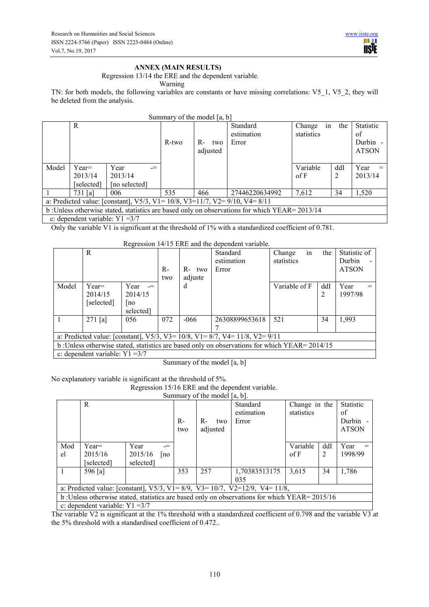# **ANNEX (MAIN RESULTS)**

Regression 13/14 the ERE and the dependent variable.

Warning

TN: for both models, the following variables are constants or have missing correlations: V5\_1, V5\_2, they will be deleted from the analysis.

| Summary of the model $[a, b]$                                                                 |                                   |                                                                                                |       |                         |                                 |                      |           |                                                    |  |  |  |
|-----------------------------------------------------------------------------------------------|-----------------------------------|------------------------------------------------------------------------------------------------|-------|-------------------------|---------------------------------|----------------------|-----------|----------------------------------------------------|--|--|--|
|                                                                                               | R                                 |                                                                                                | R-two | $R-$<br>two<br>adjusted | Standard<br>estimation<br>Error | Change<br>statistics | in<br>the | <b>Statistic</b><br>of<br>Durbin -<br><b>ATSON</b> |  |  |  |
| Model                                                                                         | $Year=$                           | Year<br>$=$                                                                                    |       |                         |                                 | Variable             | ddI       | Year<br>$=$                                        |  |  |  |
|                                                                                               | 2013/14                           | 2013/14                                                                                        |       |                         |                                 | of <b>F</b>          | 2         | 2013/14                                            |  |  |  |
|                                                                                               | [selected]                        | [no selected]                                                                                  |       |                         |                                 |                      |           |                                                    |  |  |  |
|                                                                                               | $731$ [a]                         | 006                                                                                            | 535   | 466                     | 27446220634992                  | 7.612                | 34        | 1,520                                              |  |  |  |
|                                                                                               |                                   | a: Predicted value: [constant], $V5/3$ , $V1 = 10/8$ , $V3 = 11/7$ , $V2 = 9/10$ , $V4 = 8/11$ |       |                         |                                 |                      |           |                                                    |  |  |  |
| b: Unless otherwise stated, statistics are based only on observations for which YEAR= 2013/14 |                                   |                                                                                                |       |                         |                                 |                      |           |                                                    |  |  |  |
|                                                                                               | c: dependent variable: $Y1 = 3/7$ |                                                                                                |       |                         |                                 |                      |           |                                                    |  |  |  |

Only the variable V1 is significant at the threshold of 1% with a standardized coefficient of 0.781.

# Regression 14/15 ERE and the dependent variable.

|       | R                                 |                                         | $R-$<br>two | $R-$<br>two<br>adjuste | Standard<br>estimation<br>Error                                                                | in<br>Change<br>statistics | the      | Statistic of<br>Durbin<br><b>ATSON</b> |
|-------|-----------------------------------|-----------------------------------------|-------------|------------------------|------------------------------------------------------------------------------------------------|----------------------------|----------|----------------------------------------|
| Model | $Year=$<br>2014/15<br>[selected]  | Year $=$<br>2014/15<br> no<br>selected] |             | d                      |                                                                                                | Variable of F              | ddI<br>2 | Year<br>1997/98                        |
|       | $271$ [a]                         | 056                                     | 072         | $-066$                 | 26308899653618                                                                                 | 521                        | 34       | 1,993                                  |
|       |                                   |                                         |             |                        | a: Predicted value: [constant], $V5/3$ , $V3 = 10/8$ , $V1 = 8/7$ , $V4 = 11/8$ , $V2 = 9/11$  |                            |          |                                        |
|       |                                   |                                         |             |                        | b : Unless otherwise stated, statistics are based only on observations for which YEAR= 2014/15 |                            |          |                                        |
|       | c: dependent variable: $Y1 = 3/7$ |                                         |             |                        |                                                                                                |                            |          |                                        |

Summary of the model [a, b]

| No explanatory variable is significant at the threshold of 5%. |  |  |  |
|----------------------------------------------------------------|--|--|--|
|                                                                |  |  |  |

Regression 15/16 ERE and the dependent variable.

| Summary of the model $[a, b]$ . |  |  |
|---------------------------------|--|--|

|                                                                                               | R                                                                                               |           |    | $R-$<br>two | R-<br>two<br>adjusted | Standard<br>estimation<br>Error | Change in the<br>statistics |     | <b>Statistic</b><br>of<br>Durbin -<br><b>ATSON</b> |  |
|-----------------------------------------------------------------------------------------------|-------------------------------------------------------------------------------------------------|-----------|----|-------------|-----------------------|---------------------------------|-----------------------------|-----|----------------------------------------------------|--|
| Mod                                                                                           | $Year=$                                                                                         | Year      |    |             |                       |                                 | Variable                    | ddI | Year                                               |  |
| el                                                                                            | 2015/16                                                                                         | 2015/16   | no |             |                       |                                 | of <b>F</b>                 | 2   | 1998/99                                            |  |
|                                                                                               | [selected]                                                                                      | selected] |    |             |                       |                                 |                             |     |                                                    |  |
| $\overline{1}$                                                                                | 596 [a]                                                                                         |           |    | 353         | 257                   | 1,70383513175                   | 3,615                       | 34  | 1,786                                              |  |
|                                                                                               |                                                                                                 |           |    |             |                       | 035                             |                             |     |                                                    |  |
|                                                                                               | a: Predicted value: [constant], $V5/3$ , $V1 = 8/9$ , $V3 = 10/7$ , $V2 = 12/9$ , $V4 = 11/8$ , |           |    |             |                       |                                 |                             |     |                                                    |  |
| b: Unless otherwise stated, statistics are based only on observations for which YEAR= 2015/16 |                                                                                                 |           |    |             |                       |                                 |                             |     |                                                    |  |
|                                                                                               | c: dependent variable: $Y1 = 3/7$                                                               |           |    |             |                       |                                 |                             |     |                                                    |  |

The variable V2 is significant at the 1% threshold with a standardized coefficient of 0.798 and the variable V3 at the 5% threshold with a standardised coefficient of 0.472..